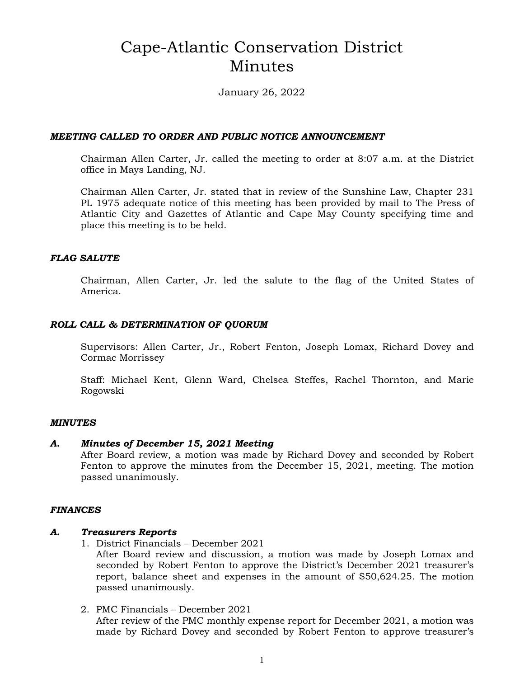# Cape-Atlantic Conservation District Minutes

January 26, 2022

#### *MEETING CALLED TO ORDER AND PUBLIC NOTICE ANNOUNCEMENT*

Chairman Allen Carter, Jr. called the meeting to order at 8:07 a.m. at the District office in Mays Landing, NJ.

Chairman Allen Carter, Jr. stated that in review of the Sunshine Law, Chapter 231 PL 1975 adequate notice of this meeting has been provided by mail to The Press of Atlantic City and Gazettes of Atlantic and Cape May County specifying time and place this meeting is to be held.

### *FLAG SALUTE*

Chairman, Allen Carter, Jr. led the salute to the flag of the United States of America.

### *ROLL CALL & DETERMINATION OF QUORUM*

Supervisors: Allen Carter, Jr., Robert Fenton, Joseph Lomax, Richard Dovey and Cormac Morrissey

Staff: Michael Kent, Glenn Ward, Chelsea Steffes, Rachel Thornton, and Marie Rogowski

#### *MINUTES*

#### *A. Minutes of December 15, 2021 Meeting*

After Board review, a motion was made by Richard Dovey and seconded by Robert Fenton to approve the minutes from the December 15, 2021, meeting. The motion passed unanimously.

#### *FINANCES*

#### *A. Treasurers Reports*

1. District Financials – December 2021

After Board review and discussion, a motion was made by Joseph Lomax and seconded by Robert Fenton to approve the District's December 2021 treasurer's report, balance sheet and expenses in the amount of \$50,624.25. The motion passed unanimously.

2. PMC Financials – December 2021 After review of the PMC monthly expense report for December 2021, a motion was made by Richard Dovey and seconded by Robert Fenton to approve treasurer's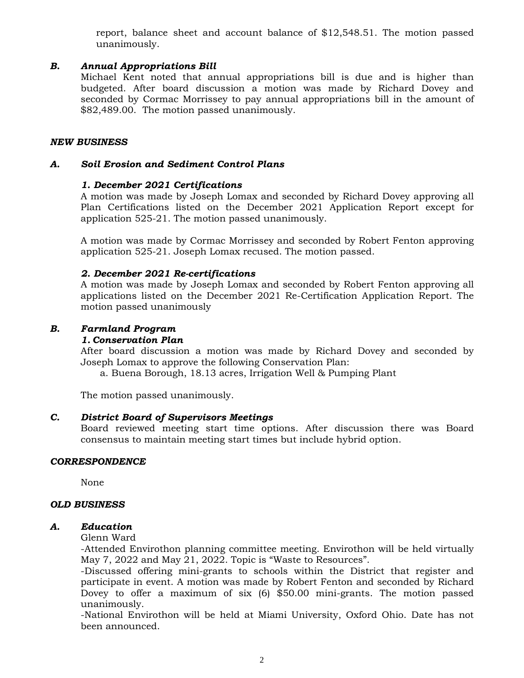report, balance sheet and account balance of \$12,548.51. The motion passed unanimously.

### *B. Annual Appropriations Bill*

Michael Kent noted that annual appropriations bill is due and is higher than budgeted. After board discussion a motion was made by Richard Dovey and seconded by Cormac Morrissey to pay annual appropriations bill in the amount of \$82,489.00. The motion passed unanimously.

#### *NEW BUSINESS*

#### *A. Soil Erosion and Sediment Control Plans*

#### *1. December 2021 Certifications*

A motion was made by Joseph Lomax and seconded by Richard Dovey approving all Plan Certifications listed on the December 2021 Application Report except for application 525-21. The motion passed unanimously.

A motion was made by Cormac Morrissey and seconded by Robert Fenton approving application 525-21. Joseph Lomax recused. The motion passed.

#### *2. December 2021 Re-certifications*

A motion was made by Joseph Lomax and seconded by Robert Fenton approving all applications listed on the December 2021 Re-Certification Application Report. The motion passed unanimously

#### *B. Farmland Program*

#### *1. Conservation Plan*

After board discussion a motion was made by Richard Dovey and seconded by Joseph Lomax to approve the following Conservation Plan:

a. Buena Borough, 18.13 acres, Irrigation Well & Pumping Plant

The motion passed unanimously.

#### *C. District Board of Supervisors Meetings*

Board reviewed meeting start time options. After discussion there was Board consensus to maintain meeting start times but include hybrid option.

#### *CORRESPONDENCE*

None

#### *OLD BUSINESS*

#### *A. Education*

Glenn Ward

-Attended Envirothon planning committee meeting. Envirothon will be held virtually May 7, 2022 and May 21, 2022. Topic is "Waste to Resources".

-Discussed offering mini-grants to schools within the District that register and participate in event. A motion was made by Robert Fenton and seconded by Richard Dovey to offer a maximum of six (6) \$50.00 mini-grants. The motion passed unanimously.

-National Envirothon will be held at Miami University, Oxford Ohio. Date has not been announced.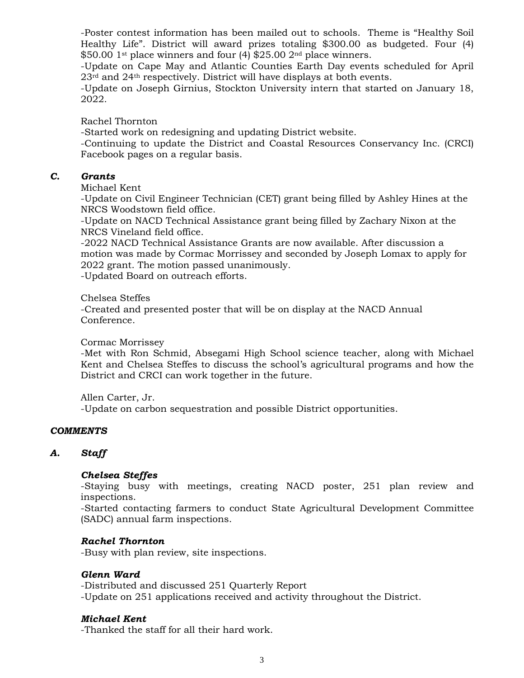-Poster contest information has been mailed out to schools. Theme is "Healthy Soil Healthy Life". District will award prizes totaling \$300.00 as budgeted. Four (4)  $$50.00$  1<sup>st</sup> place winners and four (4)  $$25.00$  2<sup>nd</sup> place winners.

-Update on Cape May and Atlantic Counties Earth Day events scheduled for April 23rd and 24th respectively. District will have displays at both events.

-Update on Joseph Girnius, Stockton University intern that started on January 18, 2022.

Rachel Thornton

-Started work on redesigning and updating District website.

-Continuing to update the District and Coastal Resources Conservancy Inc. (CRCI) Facebook pages on a regular basis.

# *C. Grants*

Michael Kent

-Update on Civil Engineer Technician (CET) grant being filled by Ashley Hines at the NRCS Woodstown field office.

-Update on NACD Technical Assistance grant being filled by Zachary Nixon at the NRCS Vineland field office.

-2022 NACD Technical Assistance Grants are now available. After discussion a motion was made by Cormac Morrissey and seconded by Joseph Lomax to apply for 2022 grant. The motion passed unanimously.

-Updated Board on outreach efforts.

Chelsea Steffes

-Created and presented poster that will be on display at the NACD Annual Conference.

Cormac Morrissey

-Met with Ron Schmid, Absegami High School science teacher, along with Michael Kent and Chelsea Steffes to discuss the school's agricultural programs and how the District and CRCI can work together in the future.

Allen Carter, Jr.

-Update on carbon sequestration and possible District opportunities.

#### *COMMENTS*

# *A. Staff*

#### *Chelsea Steffes*

-Staying busy with meetings, creating NACD poster, 251 plan review and inspections.

-Started contacting farmers to conduct State Agricultural Development Committee (SADC) annual farm inspections.

#### *Rachel Thornton*

-Busy with plan review, site inspections.

#### *Glenn Ward*

-Distributed and discussed 251 Quarterly Report -Update on 251 applications received and activity throughout the District.

#### *Michael Kent*

-Thanked the staff for all their hard work.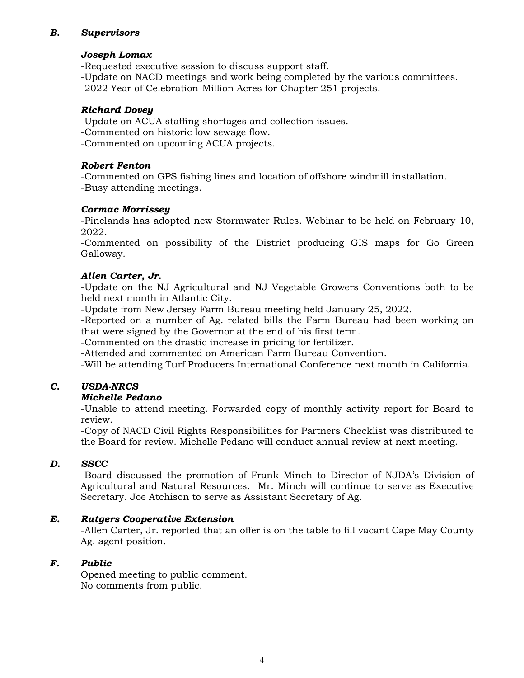# *B. Supervisors*

#### *Joseph Lomax*

-Requested executive session to discuss support staff.

-Update on NACD meetings and work being completed by the various committees. -2022 Year of Celebration-Million Acres for Chapter 251 projects.

#### *Richard Dovey*

-Update on ACUA staffing shortages and collection issues.

-Commented on historic low sewage flow.

-Commented on upcoming ACUA projects.

#### *Robert Fenton*

-Commented on GPS fishing lines and location of offshore windmill installation. -Busy attending meetings.

# *Cormac Morrissey*

-Pinelands has adopted new Stormwater Rules. Webinar to be held on February 10, 2022.

-Commented on possibility of the District producing GIS maps for Go Green Galloway.

# *Allen Carter, Jr.*

-Update on the NJ Agricultural and NJ Vegetable Growers Conventions both to be held next month in Atlantic City.

-Update from New Jersey Farm Bureau meeting held January 25, 2022.

-Reported on a number of Ag. related bills the Farm Bureau had been working on that were signed by the Governor at the end of his first term.

-Commented on the drastic increase in pricing for fertilizer.

-Attended and commented on American Farm Bureau Convention.

-Will be attending Turf Producers International Conference next month in California.

# *C. USDA-NRCS*

# *Michelle Pedano*

-Unable to attend meeting. Forwarded copy of monthly activity report for Board to review.

-Copy of NACD Civil Rights Responsibilities for Partners Checklist was distributed to the Board for review. Michelle Pedano will conduct annual review at next meeting.

# *D. SSCC*

-Board discussed the promotion of Frank Minch to Director of NJDA's Division of Agricultural and Natural Resources. Mr. Minch will continue to serve as Executive Secretary. Joe Atchison to serve as Assistant Secretary of Ag.

# *E. Rutgers Cooperative Extension*

-Allen Carter, Jr. reported that an offer is on the table to fill vacant Cape May County Ag. agent position.

#### *F. Public*

Opened meeting to public comment. No comments from public.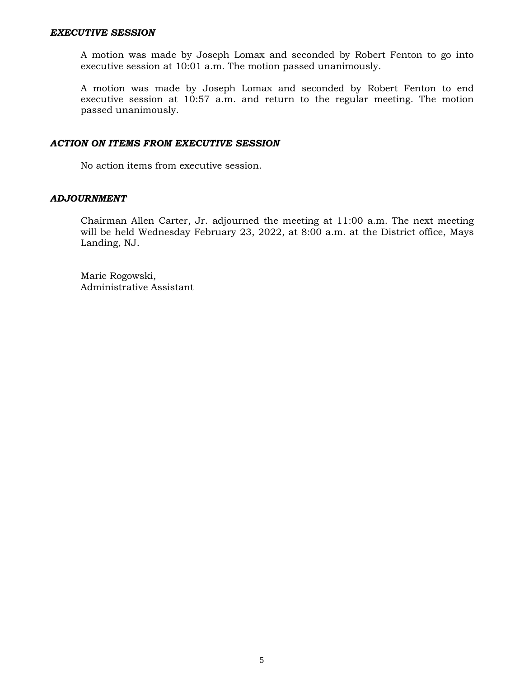#### *EXECUTIVE SESSION*

A motion was made by Joseph Lomax and seconded by Robert Fenton to go into executive session at 10:01 a.m. The motion passed unanimously.

A motion was made by Joseph Lomax and seconded by Robert Fenton to end executive session at 10:57 a.m. and return to the regular meeting. The motion passed unanimously.

#### *ACTION ON ITEMS FROM EXECUTIVE SESSION*

No action items from executive session.

#### *ADJOURNMENT*

Chairman Allen Carter, Jr. adjourned the meeting at 11:00 a.m. The next meeting will be held Wednesday February 23, 2022, at 8:00 a.m. at the District office, Mays Landing, NJ.

Marie Rogowski, Administrative Assistant